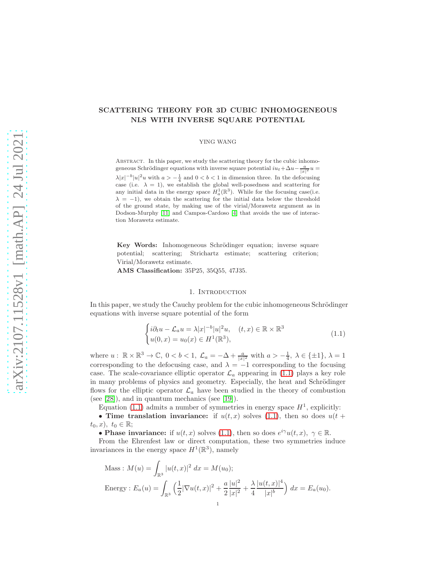# <span id="page-0-1"></span>SCATTERING THEORY FOR 3D CUBIC INHOMOGENEOUS NLS WITH INVERSE SQUARE POTENTIAL

### YING WANG

ABSTRACT. In this paper, we study the scattering theory for the cubic inhomogeneous Schrödinger equations with inverse square potential  $iu_t + \Delta u - \frac{a}{|x|^2}u =$  $\lambda |x|^{-b}|u|^2u$  with  $a > -\frac{1}{4}$  and  $0 < b < 1$  in dimension three. In the defocusing case (i.e.  $\lambda = 1$ ), we establish the global well-posedness and scattering for any initial data in the energy space  $H_a^1(\mathbb{R}^3)$ . While for the focusing case(i.e.  $\lambda = -1$ , we obtain the scattering for the initial data below the threshold of the ground state, by making use of the virial/Morawetz argument as in Dodson-Murphy [\[11\]](#page-14-0) and Campos-Cardoso [\[4\]](#page-13-0) that avoids the use of interaction Morawetz estimate.

Key Words: Inhomogeneous Schrödinger equation; inverse square potential; scattering; Strichartz estimate; scattering criterion; Virial/Morawetz estimate.

AMS Classification: 35P25, 35Q55, 47J35.

### 1. INTRODUCTION

In this paper, we study the Cauchy problem for the cubic inhomogeneous Schrödinger equations with inverse square potential of the form

<span id="page-0-0"></span>
$$
\begin{cases}\ni\partial_t u - \mathcal{L}_a u = \lambda |x|^{-b} |u|^2 u, & (t, x) \in \mathbb{R} \times \mathbb{R}^3 \\
u(0, x) = u_0(x) \in H^1(\mathbb{R}^3),\n\end{cases} \tag{1.1}
$$

where  $u: \mathbb{R} \times \mathbb{R}^3 \to \mathbb{C}, 0 < b < 1, \mathcal{L}_a = -\Delta + \frac{a}{|x|^2}$  with  $a > -\frac{1}{4}, \lambda \in \{\pm 1\}, \lambda = 1$ corresponding to the defocusing case, and  $\lambda = -1$  corresponding to the focusing case. The scale-covariance elliptic operator  $\mathcal{L}_a$  appearing in [\(1.1\)](#page-0-0) plays a key role in many problems of physics and geometry. Especially, the heat and Schrödinger flows for the elliptic operator  $\mathcal{L}_a$  have been studied in the theory of combustion (see [\[28\]](#page-14-1)), and in quantum mechanics (see [\[19\]](#page-14-2)).

Equation [\(1.1\)](#page-0-0) admits a number of symmetries in energy space  $H<sup>1</sup>$ , explicitly:

• Time translation invariance: if  $u(t, x)$  solves [\(1.1\)](#page-0-0), then so does  $u(t +$  $t_0, x$ ,  $t_0 \in \mathbb{R}$ ;

• Phase invariance: if  $u(t, x)$  solves [\(1.1\)](#page-0-0), then so does  $e^{i\gamma}u(t, x)$ ,  $\gamma \in \mathbb{R}$ .

From the Ehrenfest law or direct computation, these two symmetries induce invariances in the energy space  $H^1(\mathbb{R}^3)$ , namely

Mass: 
$$
M(u) = \int_{\mathbb{R}^3} |u(t, x)|^2 dx = M(u_0);
$$
  
Energy:  $E_a(u) = \int_{\mathbb{R}^3} \left(\frac{1}{2} |\nabla u(t, x)|^2 + \frac{a}{2} \frac{|u|^2}{|x|^2} + \frac{\lambda}{4} \frac{|u(t, x)|^4}{|x|^b}\right) dx = E_a(u_0).$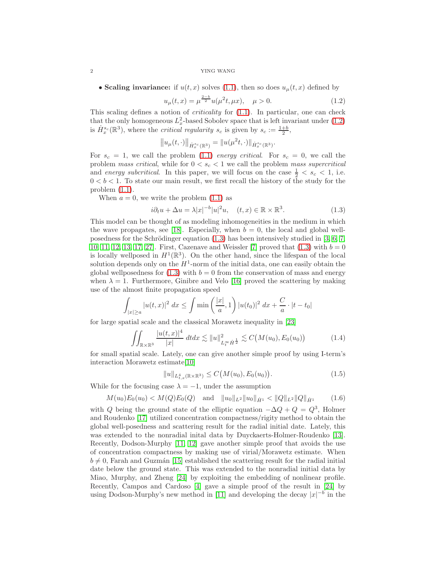#### <span id="page-1-2"></span>2 YING WANG

• Scaling invariance: if  $u(t, x)$  solves [\(1.1\)](#page-0-0), then so does  $u_u(t, x)$  defined by

<span id="page-1-0"></span>
$$
u_{\mu}(t,x) = \mu^{\frac{2-b}{2}} u(\mu^2 t, \mu x), \quad \mu > 0.
$$
 (1.2)

This scaling defines a notion of *criticality* for  $(1.1)$ . In particular, one can check that the only homogeneous  $L_x^2$ -based Sobolev space that is left invariant under [\(1.2\)](#page-1-0) is  $\dot{H}_x^{s_c}(\mathbb{R}^3)$ , where the *critical regularity*  $s_c$  is given by  $s_c := \frac{1+b}{2}$ ,

$$
||u_{\mu}(t,\cdot)||_{\dot{H}_{x}^{s_c}(\mathbb{R}^3)} = ||u(\mu^2 t,\cdot)||_{\dot{H}_{x}^{s_c}(\mathbb{R}^3)}.
$$

For  $s_c = 1$ , we call the problem [\(1.1\)](#page-0-0) energy critical. For  $s_c = 0$ , we call the problem mass critical, while for  $0 < s_c < 1$  we call the problem mass supercritical and energy subcritical. In this paper, we will focus on the case  $\frac{1}{2} < s_c < 1$ , i.e.  $0 < b < 1$ . To state our main result, we first recall the history of the study for the problem [\(1.1\)](#page-0-0).

When  $a = 0$ , we write the problem  $(1.1)$  as

<span id="page-1-1"></span>
$$
i\partial_t u + \Delta u = \lambda |x|^{-b} |u|^2 u, \quad (t, x) \in \mathbb{R} \times \mathbb{R}^3. \tag{1.3}
$$

This model can be thought of as modeling inhomogeneities in the medium in which the wave propagates, see [\[18\]](#page-14-3). Especially, when  $b = 0$ , the local and global wellposedness for the Schrödinger equation  $(1.3)$  has been intensively studied in [\[3,](#page-13-1) [6,](#page-13-2) [7,](#page-13-3) [10,](#page-14-4) [11,](#page-14-0) [12,](#page-14-5) [13,](#page-14-6) [17,](#page-14-7) [27\]](#page-14-8). First, Cazenave and Weissler [\[7\]](#page-13-3) proved that  $(1.3)$  with  $b = 0$ is locally wellposed in  $H^1(\mathbb{R}^3)$ . On the other hand, since the lifespan of the local solution depends only on the  $H^1$ -norm of the initial data, one can easily obtain the global wellposedness for  $(1.3)$  with  $b = 0$  from the conservation of mass and energy when  $\lambda = 1$ . Furthermore, Ginibre and Velo [\[16\]](#page-14-9) proved the scattering by making use of the almost finite propagation speed

$$
\int_{|x| \ge a} |u(t, x)|^2 \, dx \le \int \min\left(\frac{|x|}{a}, 1\right) |u(t_0)|^2 \, dx + \frac{C}{a} \cdot |t - t_0|
$$

for large spatial scale and the classical Morawetz inequality in [\[23\]](#page-14-10)

$$
\iint_{\mathbb{R}\times\mathbb{R}^3} \frac{|u(t,x)|^4}{|x|} dt dx \lesssim \|u\|_{L_t^\infty \dot{H}^{\frac{1}{2}}}^2 \lesssim C\big(M(u_0), E_0(u_0)\big) \tag{1.4}
$$

for small spatial scale. Lately, one can give another simple proof by using I-term's interaction Morawetz estimate[\[10\]](#page-14-4)

$$
||u||_{L_{t,x}^{4}(\mathbb{R}\times\mathbb{R}^{3})} \leq C(M(u_{0}),E_{0}(u_{0})).
$$
\n(1.5)

While for the focusing case  $\lambda = -1$ , under the assumption

$$
M(u_0)E_0(u_0) < M(Q)E_0(Q)
$$
 and  $||u_0||_{L^2}||u_0||_{\dot{H}^1} < ||Q||_{L^2}||Q||_{\dot{H}^1}$  (1.6)

with Q being the ground state of the elliptic equation  $-\Delta Q + Q = Q^3$ , Holmer and Roudenko [\[17\]](#page-14-7) utilized concentration compactness/rigity method to obtain the global well-posedness and scattering result for the radial initial date. Lately, this was extended to the nonradial inital data by Duyckaerts-Holmer-Roudenko [\[13\]](#page-14-6). Recently, Dodson-Murphy [\[11,](#page-14-0) [12\]](#page-14-5) gave another simple proof that avoids the use of concentration compactness by making use of virial/Morawetz estimate. When  $b \neq 0$ , Farah and Guzmán [\[15\]](#page-14-11) established the scattering result for the radial initial date below the ground state. This was extended to the nonradial initial data by Miao, Murphy, and Zheng [\[24\]](#page-14-12) by exploiting the embedding of nonlinear profile. Recently, Campos and Cardoso [\[4\]](#page-13-0) gave a simple proof of the result in [\[24\]](#page-14-12) by using Dodson-Murphy's new method in [\[11\]](#page-14-0) and developing the decay  $|x|^{-b}$  in the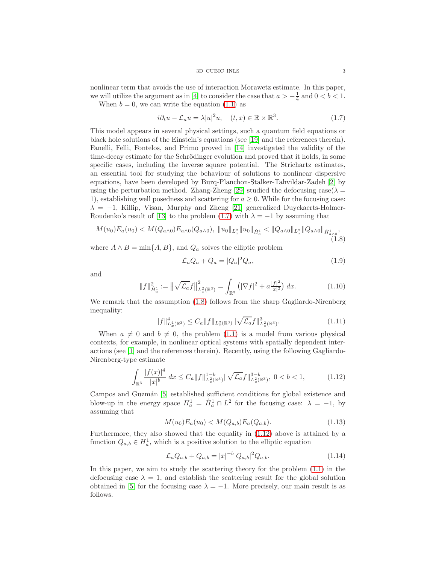#### 3D CUBIC INLS 3

<span id="page-2-3"></span>nonlinear term that avoids the use of interaction Morawetz estimate. In this paper, we will utilize the argument as in [\[4\]](#page-13-0) to consider the case that  $a > -\frac{1}{4}$  and  $0 < b < 1$ .

When  $b = 0$ , we can write the equation [\(1.1\)](#page-0-0) as

<span id="page-2-0"></span>
$$
i\partial_t u - \mathcal{L}_a u = \lambda |u|^2 u, \quad (t, x) \in \mathbb{R} \times \mathbb{R}^3. \tag{1.7}
$$

This model appears in several physical settings, such a quantum field equations or black hole solutions of the Einstein's equations (see [\[19\]](#page-14-2) and the references therein). Fanelli, Felli, Fontelos, and Primo proved in [\[14\]](#page-14-13) investigated the validity of the time-decay estimate for the Schrödinger evolution and proved that it holds, in some specific cases, including the inverse square potential. The Strichartz estimates, an essential tool for studying the behaviour of solutions to nonlinear dispersive equations, have been developed by Burq-Planchon-Stalker-Tahvildar-Zadeh [\[2\]](#page-13-4) by using the perturbation method. Zhang-Zheng [\[29\]](#page-14-14) studied the defocusing case( $\lambda =$ 1), establishing well posedness and scattering for  $a > 0$ . While for the focusing case:  $\lambda = -1$ , Killip, Visan, Murphy and Zheng [\[21\]](#page-14-15) generalized Duyckaerts-Holmer-Roudenko's result of [\[13\]](#page-14-6) to the problem [\(1.7\)](#page-2-0) with  $\lambda = -1$  by assuming that

<span id="page-2-1"></span>
$$
M(u_0)E_a(u_0) < M(Q_{a\wedge 0})E_{a\wedge 0}(Q_{a\wedge 0}), \quad \|u_0\|_{L_x^2} \|u_0\|_{\dot{H}_a^1} < \|Q_{a\wedge 0}\|_{L_x^2} \|Q_{a\wedge 0}\|_{\dot{H}_{a\wedge 0}^1},\tag{1.8}
$$

where  $A \wedge B = \min\{A, B\}$ , and  $Q_a$  solves the elliptic problem

$$
\mathcal{L}_a Q_a + Q_a = |Q_a|^2 Q_a,\tag{1.9}
$$

and

$$
||f||_{\dot{H}_a^1}^2 := ||\sqrt{\mathcal{L}_a}f||_{L_x^2(\mathbb{R}^3)}^2 = \int_{\mathbb{R}^3} \left( |\nabla f|^2 + a\frac{|f|^2}{|x|^2} \right) dx. \tag{1.10}
$$

We remark that the assumption  $(1.8)$  follows from the sharp Gagliardo-Nirenberg inequality:

$$
||f||_{L_x^4(\mathbb{R}^3)}^4 \le C_a ||f||_{L_x^2(\mathbb{R}^3)} ||\sqrt{\mathcal{L}_a} f||_{L_x^2(\mathbb{R}^3)}^3. \tag{1.11}
$$

When  $a \neq 0$  and  $b \neq 0$ , the problem [\(1.1\)](#page-0-0) is a model from various physical contexts, for example, in nonlinear optical systems with spatially dependent interactions (see [\[1\]](#page-13-5) and the references therein). Recently, using the following Gagliardo-Nirenberg-type estimate

<span id="page-2-2"></span>
$$
\int_{\mathbb{R}^3} \frac{|f(x)|^4}{|x|^b} \, dx \le C_a \|f\|_{L_x^2(\mathbb{R}^3)}^{1-b} \|\sqrt{\mathcal{L}_a} f\|_{L_x^2(\mathbb{R}^3)}^{3-b}, \ 0 < b < 1,\tag{1.12}
$$

Campos and Guzmán [\[5\]](#page-13-6) established sufficient conditions for global existence and blow-up in the energy space  $H_a^1 = \dot{H}_a^1 \cap L^2$  for the focusing case:  $\lambda = -1$ , by assuming that

$$
M(u_0)E_a(u_0) < M(Q_{a,b})E_a(Q_{a,b}).\tag{1.13}
$$

Furthermore, they also showed that the equality in [\(1.12\)](#page-2-2) above is attained by a function  $Q_{a,b} \in H_a^1$ , which is a positive solution to the elliptic equation

$$
\mathcal{L}_a Q_{a,b} + Q_{a,b} = |x|^{-b} |Q_{a,b}|^2 Q_{a,b}.
$$
\n(1.14)

In this paper, we aim to study the scattering theory for the problem [\(1.1\)](#page-0-0) in the defocusing case  $\lambda = 1$ , and establish the scattering result for the global solution obtained in [\[5\]](#page-13-6) for the focusing case  $\lambda = -1$ . More precisely, our main result is as follows.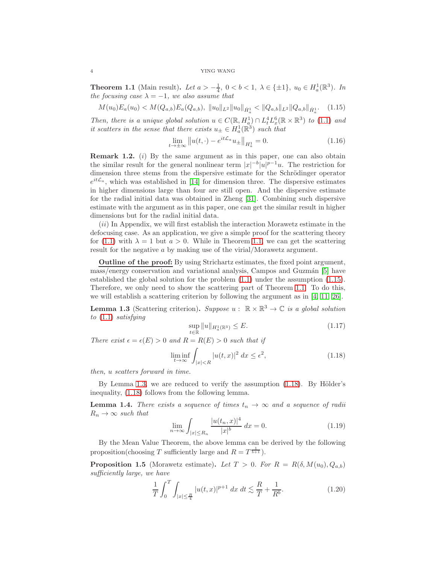#### <span id="page-3-5"></span>4 YING WANG

<span id="page-3-0"></span>**Theorem 1.1** (Main result). Let  $a > -\frac{1}{4}$ ,  $0 < b < 1$ ,  $\lambda \in \{\pm 1\}$ ,  $u_0 \in H_a^1(\mathbb{R}^3)$ . In the focusing case  $\lambda = -1$ , we also assume that

<span id="page-3-1"></span>
$$
M(u_0)E_a(u_0) < M(Q_{a,b})E_a(Q_{a,b}), \quad \|u_0\|_{L^2} \|u_0\|_{\dot{H}^1_a} < \|Q_{a,b}\|_{L^2} \|Q_{a,b}\|_{\dot{H}^1_a}.\tag{1.15}
$$

Then, there is a unique global solution  $u \in C(\mathbb{R}, H_a^1) \cap L_t^4 L_x^6(\mathbb{R} \times \mathbb{R}^3)$  to [\(1.1\)](#page-0-0) and it scatters in the sense that there exists  $u_{\pm} \in H_a^1(\mathbb{R}^3)$  such that

$$
\lim_{t \to \pm \infty} ||u(t, \cdot) - e^{it\mathcal{L}_a} u_{\pm}||_{H_a^1} = 0.
$$
\n(1.16)

**Remark 1.2.** ( $i$ ) By the same argument as in this paper, one can also obtain the similar result for the general nonlinear term  $|x|^{-b}|u|^{p-1}u$ . The restriction for dimension three stems from the dispersive estimate for the Schrödinger operator  $e^{it\mathcal{L}_a}$ , which was established in [\[14\]](#page-14-13) for dimension three. The dispersive estimates in higher dimensions large than four are still open. And the dispersive estimate for the radial initial data was obtained in Zheng [\[31\]](#page-14-16). Combining such dispersive estimate with the argument as in this paper, one can get the similar result in higher dimensions but for the radial initial data.

 $(ii)$  In Appendix, we will first establish the interaction Morawetz estimate in the defocusing case. As an application, we give a simple proof for the scattering theory for [\(1.1\)](#page-0-0) with  $\lambda = 1$  but  $a > 0$ . While in Theorem [1.1,](#page-3-0) we can get the scattering result for the negative a by making use of the virial/Morawetz argument.

Outline of the proof: By using Strichartz estimates, the fixed point argument, mass/energy conservation and variational analysis, Campos and Guzmán [\[5\]](#page-13-6) have established the global solution for the problem [\(1.1\)](#page-0-0) under the assumption [\(1.15\)](#page-3-1). Therefore, we only need to show the scattering part of Theorem [1.1.](#page-3-0) To do this, we will establish a scattering criterion by following the argument as in [\[4,](#page-13-0) [11,](#page-14-0) [26\]](#page-14-17).

<span id="page-3-2"></span>**Lemma 1.3** (Scattering criterion). Suppose  $u : \mathbb{R} \times \mathbb{R}^3 \to \mathbb{C}$  is a global solution to [\(1.1\)](#page-0-0) satisfying

$$
\sup_{t \in \mathbb{R}} \|u\|_{H_a^1(\mathbb{R}^3)} \le E. \tag{1.17}
$$

There exist  $\epsilon = \epsilon(E) > 0$  and  $R = R(E) > 0$  such that if

<span id="page-3-3"></span>
$$
\liminf_{t \to \infty} \int_{|x| < R} |u(t, x)|^2 \, dx \le \epsilon^2,\tag{1.18}
$$

then, u scatters forward in time.

By Lemma [1.3,](#page-3-2) we are reduced to verify the assumption  $(1.18)$ . By Hölder's inequality, [\(1.18\)](#page-3-3) follows from the following lemma.

**Lemma 1.4.** There exists a sequence of times  $t_n \to \infty$  and a sequence of radii  $R_n \rightarrow \infty$  such that

$$
\lim_{n \to \infty} \int_{|x| \le R_n} \frac{|u(t_n, x)|^4}{|x|^b} \, dx = 0. \tag{1.19}
$$

By the Mean Value Theorem, the above lemma can be derived by the following proposition(choosing T sufficiently large and  $R = T^{\frac{1}{b+1}}$ ).

<span id="page-3-4"></span>**Proposition 1.5** (Morawetz estimate). Let  $T > 0$ . For  $R = R(\delta, M(u_0), Q_{a,b})$ sufficiently large, we have

$$
\frac{1}{T} \int_0^T \int_{|x| \le \frac{R}{4}} |u(t, x)|^{p+1} dx dt \lesssim \frac{R}{T} + \frac{1}{R^b}.
$$
\n(1.20)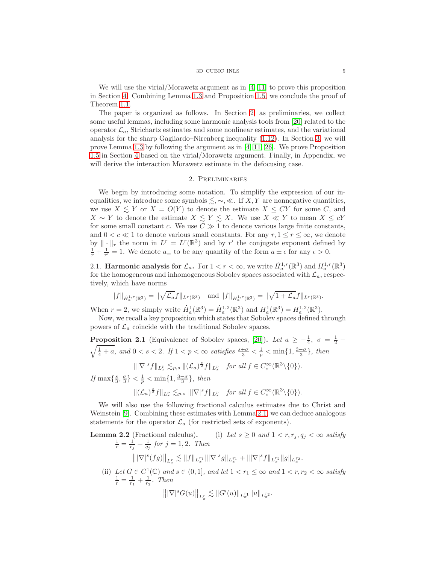#### 3D CUBIC INLS 5

<span id="page-4-2"></span>We will use the virial/Morawetz argument as in [\[4,](#page-13-0) [11\]](#page-14-0) to prove this proposition in Section [4.](#page-9-0) Combining Lemma [1.3](#page-3-2) and Proposition [1.5,](#page-3-4) we conclude the proof of Theorem [1.1.](#page-3-0)

The paper is organized as follows. In Section [2,](#page-4-0) as preliminaries, we collect some useful lemmas, including some harmonic analysis tools from [\[20\]](#page-14-18) related to the operator  $\mathcal{L}_a$ , Strichartz estimates and some nonlinear estimates, and the variational analysis for the sharp Gagliardo–Nirenberg inequality [\(1.12\)](#page-2-2). In Section [3,](#page-5-0) we will prove Lemma [1.3](#page-3-2) by following the argument as in [\[4,](#page-13-0) [11,](#page-14-0) [26\]](#page-14-17). We prove Proposition [1.5](#page-3-4) in Section [4](#page-9-0) based on the virial/Morawetz argument. Finally, in Appendix, we will derive the interaction Morawetz estimate in the defocusing case.

## 2. Preliminaries

<span id="page-4-0"></span>We begin by introducing some notation. To simplify the expression of our inequalities, we introduce some symbols  $\leq, \sim, \ll$ . If X, Y are nonnegative quantities, we use  $X \leq Y$  or  $X = O(Y)$  to denote the estimate  $X \leq CY$  for some C, and  $X \sim Y$  to denote the estimate  $X \leq Y \leq X$ . We use  $X \ll Y$  to mean  $X \leq cY$ for some small constant c. We use  $C \gg 1$  to denote various large finite constants, and  $0 < c \ll 1$  to denote various small constants. For any  $r, 1 \le r \le \infty$ , we denote by  $\|\cdot\|_r$  the norm in  $L^r = L^r(\mathbb{R}^3)$  and by r' the conjugate exponent defined by  $\frac{1}{r} + \frac{1}{r'} = 1$ . We denote  $a_{\pm}$  to be any quantity of the form  $a \pm \epsilon$  for any  $\epsilon > 0$ .

2.1. **Harmonic analysis for**  $\mathcal{L}_a$ . For  $1 < r < \infty$ , we write  $\dot{H}_a^{1,r}(\mathbb{R}^3)$  and  $H_a^{1,r}(\mathbb{R}^3)$ for the homogeneous and inhomogeneous Sobolev spaces associated with  $\mathcal{L}_a$ , respectively, which have norms

$$
||f||_{\dot{H}^{1,r}_a(\mathbb{R}^3)} = ||\sqrt{\mathcal{L}_a}f||_{L^r(\mathbb{R}^3)} \text{ and } ||f||_{H^{1,r}_a(\mathbb{R}^3)} = ||\sqrt{1+\mathcal{L}_a}f||_{L^r(\mathbb{R}^3)}.
$$

When  $r = 2$ , we simply write  $\dot{H}_a^1(\mathbb{R}^3) = \dot{H}_a^{1,2}(\mathbb{R}^3)$  and  $H_a^1(\mathbb{R}^3) = H_a^{1,2}(\mathbb{R}^3)$ .

Now, we recall a key proposition which states that Sobolev spaces defined through powers of  $\mathcal{L}_a$  coincide with the traditional Sobolev spaces.

<span id="page-4-1"></span>**Proposition 2.1** (Equivalence of Sobolev spaces, [\[20\]](#page-14-18)). Let  $a \ge -\frac{1}{4}$ ,  $\sigma = \frac{1}{2} - \sqrt{\frac{1}{4} + a}$  and  $0 < s < 2$  If  $1 < n < \infty$  satisfies  $\frac{s+\sigma}{2} < \frac{1}{2} < \min\{1, \frac{3-\sigma}{2}\}\$  then  $\frac{1}{4}+a$ , and  $0 < s < 2$ . If  $1 < p < \infty$  satisfies  $\frac{s+\sigma}{3} < \frac{1}{p} < \min\{1, \frac{3-\sigma}{3}\}\$ , then

$$
\||\nabla|^s f\|_{L^p_x} \lesssim_{p,s} \|(\mathcal{L}_a)^{\frac{s}{2}} f\|_{L^p_x} \quad \text{for all } f \in C_c^{\infty}(\mathbb{R}^3 \setminus \{0\}).
$$

If  $\max\{\frac{s}{3},\frac{\sigma}{3}\}<\frac{1}{p}<\min\{1,\frac{3-\sigma}{3}\}\$ , then

$$
\|(\mathcal{L}_a)^{\frac{s}{2}}f\|_{L^p_x}\lesssim_{p,s} \||\nabla|^s f\|_{L^p_x}\quad \text{for all }f\in C^\infty_c(\mathbb{R}^3\backslash\{0\}).
$$

We will also use the following fractional calculus estimates due to Christ and Weinstein [\[9\]](#page-14-19). Combining these estimates with Lemma [2.1,](#page-4-1) we can deduce analogous statements for the operator  $\mathcal{L}_a$  (for restricted sets of exponents).

**Lemma 2.2** (Fractional calculus). (i) Let  $s \geq 0$  and  $1 < r, r_j, q_j < \infty$  satisfy  $\frac{1}{r} = \frac{1}{r_j} + \frac{1}{q_j}$  for  $j = 1, 2$ . Then  $\big\||\nabla|^s(fg)\big\|_{L^r_x} \lesssim \|f\|_{L^{r_1}_x}\||\nabla|^s g\|_{L^{q_1}_x} + \||\nabla|^s f\|_{L^{r_2}_x}\|g\|_{L^{q_2}_x}.$ 

(ii) Let  $G \in C^1(\mathbb{C})$  and  $s \in (0,1]$ , and let  $1 < r_1 \leq \infty$  and  $1 < r, r_2 < \infty$  satisfy  $\frac{1}{r} = \frac{1}{r_1} + \frac{1}{r_2}$ . Then

$$
\big\| |\nabla|^s G(u) \big\|_{L^r_x} \lesssim \| G'(u) \|_{L^{r_1}_x} \| u \|_{L^{r_2}_x}.
$$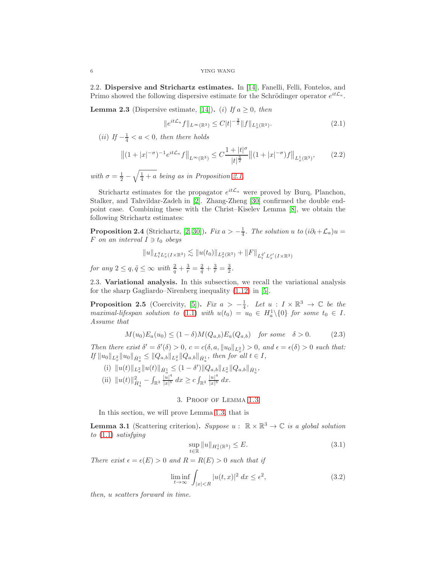<span id="page-5-5"></span>2.2. Dispersive and Strichartz estimates. In [\[14\]](#page-14-13), Fanelli, Felli, Fontelos, and Primo showed the following dispersive estimate for the Schrödinger operator  $e^{it\mathcal{L}_a}$ .

<span id="page-5-2"></span>**Lemma 2.3** (Dispersive estimate, [\[14\]](#page-14-13)). (i) If  $a \geq 0$ , then

$$
||e^{it\mathcal{L}_a}f||_{L^{\infty}(\mathbb{R}^3)} \leq C|t|^{-\frac{3}{2}}||f||_{L^1_x(\mathbb{R}^3)}.
$$
\n(2.1)

(*ii*) If  $-\frac{1}{4} < a < 0$ , then there holds

$$
\left\|(1+|x|^{-\sigma})^{-1}e^{it\mathcal{L}_a}f\right\|_{L^{\infty}(\mathbb{R}^3)} \leq C\frac{1+|t|^{\sigma}}{|t|^{\frac{3}{2}}}\left\|(1+|x|^{-\sigma})f\right\|_{L^1_x(\mathbb{R}^3)},\tag{2.2}
$$

with  $\sigma = \frac{1}{2} - \sqrt{\frac{1}{4} + a}$  being as in Proposition [2.1.](#page-4-1)

Strichartz estimates for the propagator  $e^{it\mathcal{L}_a}$  were proved by Burq, Planchon, Stalker, and Tahvildar-Zadeh in [\[2\]](#page-13-4). Zhang-Zheng [\[30\]](#page-14-20) confirmed the double endpoint case. Combining these with the Christ–Kiselev Lemma [\[8\]](#page-14-21), we obtain the following Strichartz estimates:

**Proposition 2.4** (Strichartz, [\[2,](#page-13-4) [30\]](#page-14-20)). Fix  $a > -\frac{1}{4}$ . The solution u to  $(i\partial_t + \mathcal{L}_a)u =$ F on an interval  $I \ni t_0$  obeys

$$
||u||_{L_t^{q}L_x^r(I\times\mathbb{R}^3)} \lesssim ||u(t_0)||_{L_x^{2}(\mathbb{R}^3)} + ||F||_{L_t^{\tilde{q}'}L_x^{\tilde{r}'}(I\times\mathbb{R}^3)}
$$

for any  $2 \le q$ ,  $\tilde{q} \le \infty$  with  $\frac{2}{q} + \frac{3}{r} = \frac{2}{\tilde{q}} + \frac{3}{\tilde{r}} = \frac{3}{2}$ .

2.3. Variational analysis. In this subsection, we recall the variational analysis for the sharp Gagliardo–Nirenberg inequality [\(1.12\)](#page-2-2) in [\[5\]](#page-13-6).

<span id="page-5-4"></span>**Proposition 2.5** (Coercivity, [\[5\]](#page-13-6)). Fix  $a > -\frac{1}{4}$ . Let  $u : I \times \mathbb{R}^3 \to \mathbb{C}$  be the maximal-lifespan solution to [\(1.1\)](#page-0-0) with  $u(t_0) = u_0 \in H_a^1 \setminus \{0\}$  for some  $t_0 \in I$ . Assume that

$$
M(u_0)E_a(u_0) \le (1 - \delta)M(Q_{a,b})E_a(Q_{a,b}) \quad \text{for some} \quad \delta > 0. \tag{2.3}
$$

Then there exist  $\delta' = \delta'(\delta) > 0$ ,  $c = c(\delta, a, ||u_0||_{L^2_x}) > 0$ , and  $\epsilon = \epsilon(\delta) > 0$  such that:  $\int f \|u_0\|_{L_x^2} \|u_0\|_{\dot{H}_a^1} \leq \|Q_{a,b}\|_{L_x^2} \|Q_{a,b}\|_{\dot{H}_a^1}, \text{ then for all } t \in I,$ 

(i)  $||u(t)||_{L_x^2} ||u(t)||_{\dot{H}_a^1} \leq (1 - \delta') ||Q_{a,b}||_{L_x^2} ||Q_{a,b}||_{\dot{H}_a^1},$ (ii)  $||u(t)||_{\dot{H}_{a}^{1}}^{2} - \int_{\mathbb{R}^{3}} \frac{|u|^{4}}{|x|^{b}}$  $\frac{|u|^4}{|x|^b} dx \geq c \int_{\mathbb{R}^3} \frac{|u|^4}{|x|^b}$  $\frac{|u|}{|x|^b}$  dx.

# 3. Proof of Lemma [1.3](#page-3-2)

<span id="page-5-0"></span>In this section, we will prove Lemma [1.3,](#page-3-2) that is

**Lemma 3.1** (Scattering criterion). Suppose  $u : \mathbb{R} \times \mathbb{R}^3 \to \mathbb{C}$  is a global solution to [\(1.1\)](#page-0-0) satisfying

<span id="page-5-1"></span>
$$
\sup_{t \in \mathbb{R}} \|u\|_{H_a^1(\mathbb{R}^3)} \le E. \tag{3.1}
$$

There exist  $\epsilon = \epsilon(E) > 0$  and  $R = R(E) > 0$  such that if

<span id="page-5-3"></span>
$$
\liminf_{t \to \infty} \int_{|x| < R} |u(t, x)|^2 \, dx \le \epsilon^2,\tag{3.2}
$$

then, u scatters forward in time.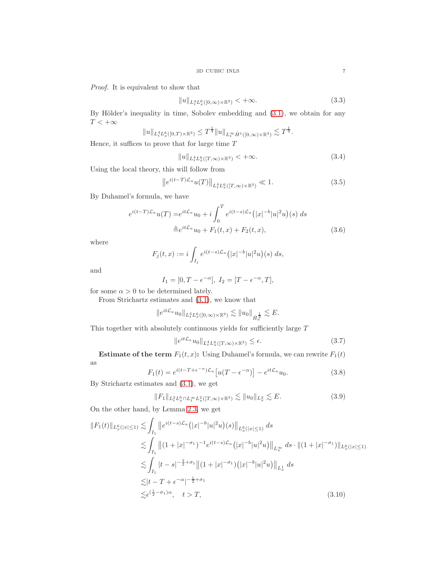Proof. It is equivalent to show that

$$
||u||_{L_t^4 L_x^6([0,\infty)\times\mathbb{R}^3)} < +\infty.
$$
\n(3.3)

By Hölder's inequality in time, Sobolev embedding and  $(3.1)$ , we obtain for any  $T<+\infty$ 

$$
||u||_{L_t^4 L_x^6([0,T)\times \mathbb{R}^3)} \leq T^{\frac{1}{4}} ||u||_{L_t^{\infty} \dot{H}^1([0,\infty)\times \mathbb{R}^3)} \lesssim T^{\frac{1}{4}}.
$$

Hence, it suffices to prove that for large time  $T$ 

<span id="page-6-2"></span>
$$
||u||_{L_t^4 L_x^6([T,\infty)\times\mathbb{R}^3)} < +\infty.
$$
\n
$$
(3.4)
$$

Using the local theory, this will follow from

<span id="page-6-4"></span>
$$
\|e^{i(t-T)\mathcal{L}_a}u(T)\|_{L_t^4 L_x^6([T,\infty)\times\mathbb{R}^3)} \ll 1.
$$
\n(3.5)

By Duhamel's formula, we have

$$
e^{i(t-T)\mathcal{L}_a}u(T) = e^{it\mathcal{L}_a}u_0 + i\int_0^T e^{i(t-s)\mathcal{L}_a}(|x|^{-b}|u|^2u)(s) ds
$$
  

$$
\triangleq e^{it\mathcal{L}_a}u_0 + F_1(t,x) + F_2(t,x),
$$
 (3.6)

where

$$
F_j(t, x) := i \int_{I_j} e^{i(t-s)\mathcal{L}_a} (|x|^{-b} |u|^2 u)(s) ds,
$$

and

$$
I_1 = [0, T - \epsilon^{-\alpha}], I_2 = [T - \epsilon^{-\alpha}, T],
$$

for some  $\alpha > 0$  to be determined lately.

From Strichartz estimates and [\(3.1\)](#page-5-1), we know that

$$
\|e^{it\mathcal{L}_a}u_0\|_{L^4_tL^6_x([0,\infty)\times\mathbb{R}^3)} \lesssim \|u_0\|_{\dot{H}^{\frac{1}{2}}_a} \lesssim E.
$$

This together with absolutely continuous yields for sufficiently large  ${\cal T}$ 

<span id="page-6-3"></span>
$$
||e^{it\mathcal{L}_a}u_0||_{L^4_tL^6_x([T,\infty)\times\mathbb{R}^3)} \le \epsilon.
$$
\n(3.7)

**Estimate of the term**  $F_1(t, x)$ : Using Duhamel's formula, we can rewrite  $F_1(t)$ as

$$
F_1(t) = e^{i(t - T + \epsilon^{-\alpha})\mathcal{L}_a} \left[ u(T - \epsilon^{-\alpha}) \right] - e^{it\mathcal{L}_a} u_0.
$$
\n(3.8)

By Strichartz estimates and [\(3.1\)](#page-5-1), we get

<span id="page-6-1"></span><span id="page-6-0"></span>
$$
||F_1||_{L_t^2 L_x^6 \cap L_t^\infty L_x^2([T,\infty)\times \mathbb{R}^3)} \lesssim ||u_0||_{L_x^2} \lesssim E. \tag{3.9}
$$

On the other hand, by Lemma [2.3,](#page-5-2) we get

$$
||F_1(t)||_{L_x^6(|x|\leq 1)} \lesssim \int_{I_1} ||e^{i(t-s)\mathcal{L}_a}(|x|^{-b}|u|^2u)(s)||_{L_x^6(|x|\leq 1)} ds
$$
  
\n
$$
\lesssim \int_{I_1} ||(1+|x|^{-\sigma_1})^{-1}e^{i(t-s)\mathcal{L}_a}(|x|^{-b}|u|^2u)||_{L_x^{\infty}} ds \cdot ||(1+|x|^{-\sigma_1})||_{L_x^6(|x|\leq 1)}
$$
  
\n
$$
\lesssim \int_{I_1} |t-s|^{-\frac{3}{2}+\sigma_1} ||(1+|x|^{-\sigma_1}) (|x|^{-b}|u|^2u)||_{L_x^1} ds
$$
  
\n
$$
\lesssim |t-T+\epsilon^{-\alpha}|^{-\frac{1}{2}+\sigma_1}
$$
  
\n
$$
\lesssim \epsilon^{(\frac{1}{2}-\sigma_1)\alpha}, \quad t > T,
$$
\n(3.10)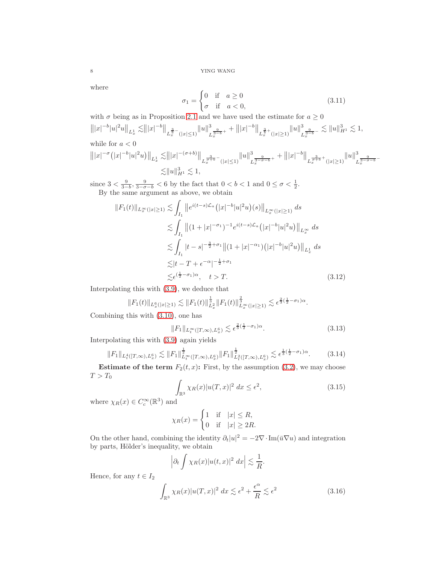8 YING WANG

where

$$
\sigma_1 = \begin{cases} 0 & \text{if } a \ge 0 \\ \sigma & \text{if } a < 0, \end{cases}
$$
 (3.11)

with  $\sigma$  being as in Proposition [2.1](#page-4-1) and we have used the estimate for  $a \geq 0$ 

$$
|||x|^{-b}|u|^2u||_{L_x^1} \lesssim |||x|^{-b}||_{L_x^{\frac{3}{b}-}(|x|\leq 1)}||u||_{L_x^{\frac{9}{3-b}+}}^3+|||x|^{-b}||_{L_x^{\frac{3}{b}+}(|x|\geq 1)}||u||_{L_x^{\frac{9}{3-b}-}}^3 \lesssim ||u||_{H^1}^3 \lesssim 1,
$$
  
while for  $a < 0$ 

while for 
$$
a < 0
$$

$$
|||x|^{-\sigma} (|x|^{-b}|u|^2 u) ||_{L^1_x} \lesssim |||x|^{-(\sigma+b)} ||_{L^{\frac{3}{\sigma+b}^-}_x(|x|\leq 1)} ||u||^3_{L^{\frac{9}{3-\sigma-b}+}_{x}} + |||x|^{-b} ||_{L^{\frac{3}{\sigma+b}+}_x(|x|\geq 1)} ||u||^3_{L^{\frac{9}{3-\sigma-b}+}_{x}}\lesssim ||u||^3_{H^1} \lesssim 1,
$$

since  $3 < \frac{9}{3-b}$ ,  $\frac{9}{3-\sigma-b} < 6$  by the fact that  $0 < b < 1$  and  $0 \le \sigma < \frac{1}{2}$ . By the same argument as above, we obtain

$$
||F_1(t)||_{L_x^{\infty}(|x|\geq 1)} \lesssim \int_{I_1} ||e^{i(t-s)\mathcal{L}_a} (|x|^{-b}|u|^2 u)(s)||_{L_x^{\infty}(|x|\geq 1)} ds
$$
  
\n
$$
\lesssim \int_{I_1} ||(1+|x|^{-\sigma_1})^{-1} e^{i(t-s)\mathcal{L}_a} (|x|^{-b}|u|^2 u) ||_{L_x^{\infty}} ds
$$
  
\n
$$
\lesssim \int_{I_1} |t-s|^{-\frac{3}{2}+\sigma_1} ||(1+|x|^{-\alpha_1}) (|x|^{-b}|u|^2 u) ||_{L_x^1} ds
$$
  
\n
$$
\lesssim |t-T+\epsilon^{-\alpha}|^{-\frac{1}{2}+\sigma_1}
$$
  
\n
$$
\lesssim \epsilon^{(\frac{1}{2}-\sigma_1)\alpha}, \quad t > T.
$$
\n(3.12)

Interpolating this with [\(3.9\)](#page-6-0), we deduce that

$$
||F_1(t)||_{L_x^6(|x|\geq 1)} \lesssim ||F_1(t)||_{L_x^2}^{\frac{1}{3}} ||F_1(t)||_{L_x^{\infty}(|x|\geq 1)}^{\frac{2}{3}} \lesssim \epsilon^{\frac{2}{3}(\frac{1}{2}-\sigma_1)\alpha}.
$$

Combining this with [\(3.10\)](#page-6-1), one has

$$
||F_1||_{L_t^{\infty}([T,\infty),L_x^6)} \lesssim \epsilon^{\frac{2}{3}(\frac{1}{2}-\sigma_1)\alpha}.
$$
\n(3.13)

Interpolating this with [\(3.9\)](#page-6-0) again yields

$$
||F_1||_{L_t^4([T,\infty),L_x^6)} \lesssim ||F_1||_{L_t^\infty([T,\infty),L_x^6)}^{\frac{1}{2}} ||F_1||_{L_t^2([T,\infty),L_x^6)}^{\frac{1}{2}} \lesssim \epsilon^{\frac{1}{3}(\frac{1}{2}-\sigma_1)\alpha}.
$$
 (3.14)

**Estimate of the term**  $F_2(t, x)$ : First, by the assumption [\(3.2\)](#page-5-3), we may choose  $T > T_0$ 

<span id="page-7-1"></span>
$$
\int_{\mathbb{R}^3} \chi_R(x) |u(T, x)|^2 dx \le \epsilon^2,
$$
\n(3.15)

where  $\chi_R(x) \in C_c^{\infty}(\mathbb{R}^3)$  and

$$
\chi_R(x) = \begin{cases} 1 & \text{if} \quad |x| \le R, \\ 0 & \text{if} \quad |x| \ge 2R. \end{cases}
$$

On the other hand, combining the identity  $\partial_t |u|^2 = -2\nabla \cdot \text{Im}(\bar{u} \nabla u)$  and integration by parts, Hölder's inequality, we obtain

$$
\left|\partial_t \int \chi_R(x) |u(t,x)|^2 \ dx\right| \lesssim \frac{1}{R}.
$$

Hence, for any  $t \in I_2$ 

<span id="page-7-0"></span>
$$
\int_{\mathbb{R}^3} \chi_R(x) |u(T, x)|^2 \, dx \lesssim \epsilon^2 + \frac{\epsilon^{\alpha}}{R} \lesssim \epsilon^2 \tag{3.16}
$$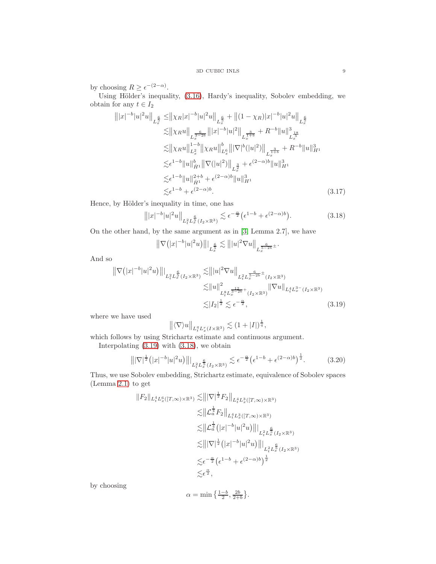<span id="page-8-2"></span>by choosing  $R \geq \epsilon^{-(2-\alpha)}$ .

Using Hölder's inequality,  $(3.16)$ , Hardy's inequality, Sobolev embedding, we obtain for any  $t \in I_2$ 

$$
\| |x|^{-b} |u|^2 u \|_{L_x^{\frac{6}{5}}} \le \| \chi_R |x|^{-b} |u|^2 u \|_{L_x^{\frac{6}{5}}} + \| (1 - \chi_R) |x|^{-b} |u|^2 u \|_{L_x^{\frac{6}{5}}} \n\lesssim \| \chi_R u \|_{L_x^{\frac{6}{3}-2b}} \| |x|^{-b} |u|^2 \|_{L_x^{\frac{3}{1+b}}} + R^{-b} \| u \|_{L_x^{\frac{18}{5}}}^3 \n\lesssim \| \chi_R u \|_{L_x^2}^{1-b} \| \chi_R u \|_{L_x^6}^{b} \| |\nabla|^b (|u|^2) \|_{L_x^{\frac{3}{1+b}}} + R^{-b} \| u \|_{H^1}^3 \n\lesssim \epsilon^{1-b} \| u \|_{H^1}^{b} \| \nabla (|u|^2) \|_{L_x^{\frac{3}{2}}} + \epsilon^{(2-\alpha)b} \| u \|_{H^1}^3 \n\lesssim \epsilon^{1-b} \| u \|_{H^1}^{2+b} + \epsilon^{(2-\alpha)b} \| u \|_{H^1}^3 \n\lesssim \epsilon^{1-b} + \epsilon^{(2-\alpha)b} .
$$
\n(3.17)

Hence, by Hölder's inequality in time, one has

<span id="page-8-1"></span>
$$
\| |x|^{-b} |u|^2 u \|_{L_t^2 L_x^{\frac{6}{5}}(I_2 \times \mathbb{R}^3)} \lesssim \epsilon^{-\frac{\alpha}{2}} (\epsilon^{1-b} + \epsilon^{(2-\alpha)b}). \tag{3.18}
$$

On the other hand, by the same argument as in [\[3,](#page-13-1) Lemma 2.7], we have

$$
\big\|\nabla\big(|x|^{-b}|u|^2u\big)\big\||_{L_x^\frac65}\lesssim \big\||u|^2\nabla u\big\|_{L_x^\frac6{5-2b}\pm}.
$$

And so

$$
\|\nabla (|x|^{-b}|u|^2u)\||_{L_t^2 L_x^{\frac{6}{5}}(I_2 \times \mathbb{R}^3)} \lesssim \||u|^2 \nabla u\|_{L_t^2 L_x^{\frac{6}{5-2b} \pm} (I_2 \times \mathbb{R}^3)}
$$
  
\n
$$
\lesssim \|u\|_{L_t^8 L_x^{\frac{12}{3-2b} +} (I_2 \times \mathbb{R}^3)}^2 \|\nabla u\|_{L_t^4 L_x^3 - (I_2 \times \mathbb{R}^3)}
$$
  
\n
$$
\lesssim |I_2|^{\frac{1}{2}} \lesssim \epsilon^{-\frac{\alpha}{2}},
$$
\n(3.19)

where we have used

<span id="page-8-0"></span>
$$
\left\| \langle \nabla \rangle u \right\|_{L_t^q L_x^r(I \times \mathbb{R}^3)} \lesssim (1+|I|)^{\frac{1}{q}},
$$

which follows by using Strichartz estimate and continuous argument.

Interpolating [\(3.19\)](#page-8-0) with [\(3.18\)](#page-8-1), we obtain

$$
\left\| |\nabla|^{\frac{1}{2}} \left( |x|^{-b} |u|^2 u \right) \right\|_{L_t^2 L_x^{\frac{6}{5}}(I_2 \times \mathbb{R}^3)} \lesssim \epsilon^{-\frac{\alpha}{2}} \left( \epsilon^{1-b} + \epsilon^{(2-\alpha)b} \right)^{\frac{1}{2}}.
$$
 (3.20)

Thus, we use Sobolev embedding, Strichartz estimate, equivalence of Sobolev spaces (Lemma [2.1\)](#page-4-1) to get

$$
||F_2||_{L_t^4 L_x^6([T,\infty)\times\mathbb{R}^3)} \lesssim |||\nabla|^{\frac{1}{2}} F_2||_{L_t^4 L_x^3([T,\infty)\times\mathbb{R}^3)}
$$
  
\n
$$
\lesssim ||\mathcal{L}_a^{\frac{1}{4}} F_2||_{L_t^4 L_x^3([T,\infty)\times\mathbb{R}^3)}
$$
  
\n
$$
\lesssim ||\mathcal{L}_a^{\frac{1}{4}}(|x|^{-b}|u|^2u) ||_{L_t^2 L_x^{\frac{6}{5}}(I_2\times\mathbb{R}^3)}
$$
  
\n
$$
\lesssim |||\nabla|^{\frac{1}{2}}(|x|^{-b}|u|^2u) ||_{L_t^2 L_x^{\frac{6}{5}}(I_2\times\mathbb{R}^3)}
$$
  
\n
$$
\lesssim \epsilon^{-\frac{\alpha}{2}} (\epsilon^{1-b} + \epsilon^{(2-\alpha)b})^{\frac{1}{2}}
$$
  
\n
$$
\lesssim \epsilon^{\frac{\alpha}{2}},
$$

by choosing

$$
\alpha = \min\left\{\tfrac{1-b}{2},\tfrac{2b}{2+b}\right\}.
$$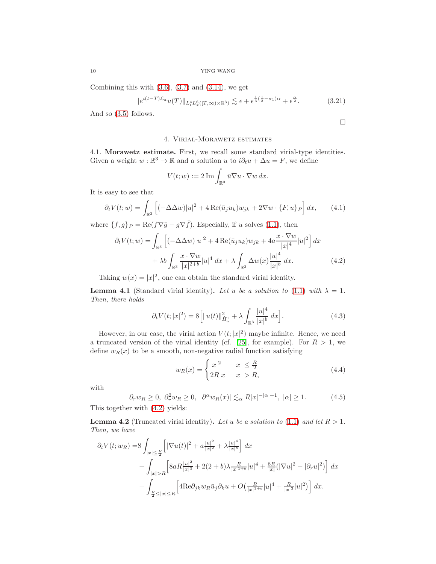<span id="page-9-5"></span>Combining this with  $(3.6)$ ,  $(3.7)$  and  $(3.14)$ , we get

$$
||e^{i(t-T)\mathcal{L}_a}u(T)||_{L^4_tL^6_x([T,\infty)\times\mathbb{R}^3)} \lesssim \epsilon + \epsilon^{\frac{1}{3}(\frac{1}{2}-\sigma_1)\alpha} + \epsilon^{\frac{\alpha}{2}}.
$$
 (3.21)

<span id="page-9-0"></span>And so [\(3.5\)](#page-6-4) follows.

<span id="page-9-4"></span><span id="page-9-1"></span>
$$
\Box
$$

# 4. Virial-Morawetz estimates

4.1. Morawetz estimate. First, we recall some standard virial-type identities. Given a weight  $w : \mathbb{R}^3 \to \mathbb{R}$  and a solution u to  $i\partial_t u + \Delta u = F$ , we define

$$
V(t; w) := 2 \operatorname{Im} \int_{\mathbb{R}^3} \bar{u} \nabla u \cdot \nabla w \, dx.
$$

It is easy to see that

$$
\partial_t V(t; w) = \int_{\mathbb{R}^3} \left[ (-\Delta \Delta w) |u|^2 + 4 \operatorname{Re}(\bar{u}_j u_k) w_{jk} + 2 \nabla w \cdot \{F, u\}_P \right] dx, \tag{4.1}
$$

where  $\{f, g\}_P = \text{Re}(f \nabla \bar{g} - g \nabla \bar{f})$ . Especially, if u solves [\(1.1\)](#page-0-0), then

$$
\partial_t V(t; w) = \int_{\mathbb{R}^3} \left[ (-\Delta \Delta w) |u|^2 + 4 \operatorname{Re}(\bar{u}_j u_k) w_{jk} + 4a \frac{x \cdot \nabla w}{|x|^4} |u|^2 \right] dx
$$

$$
+ \lambda b \int_{\mathbb{R}^3} \frac{x \cdot \nabla w}{|x|^{2+b}} |u|^4 dx + \lambda \int_{\mathbb{R}^3} \Delta w(x) \frac{|u|^4}{|x|^b} dx.
$$
(4.2)

Taking  $w(x) = |x|^2$ , one can obtain the standard virial identity.

**Lemma 4.1** (Standard virial identity). Let u be a solution to [\(1.1\)](#page-0-0) with  $\lambda = 1$ . Then, there holds

$$
\partial_t V(t; |x|^2) = 8 \left[ ||u(t)||^2_{\dot{H}^1_a} + \lambda \int_{\mathbb{R}^3} \frac{|u|^4}{|x|^b} \, dx \right]. \tag{4.3}
$$

However, in our case, the virial action  $V(t;|x|^2)$  maybe infinite. Hence, we need a truncated version of the virial identity (cf. [\[25\]](#page-14-22), for example). For  $R > 1$ , we define  $w_R(x)$  to be a smooth, non-negative radial function satisfying

$$
w_R(x) = \begin{cases} |x|^2 & |x| \le \frac{R}{2} \\ 2R|x| & |x| > R, \end{cases}
$$
 (4.4)

with

<span id="page-9-2"></span>
$$
\partial_r w_R \ge 0, \ \partial_r^2 w_R \ge 0, \ |\partial^\alpha w_R(x)| \lesssim_\alpha R|x|^{-|\alpha|+1}, \ |\alpha| \ge 1. \tag{4.5}
$$

This together with [\(4.2\)](#page-9-1) yields:

<span id="page-9-3"></span>**Lemma 4.2** (Truncated virial identity). Let u be a solution to [\(1.1\)](#page-0-0) and let  $R > 1$ . Then, we have

$$
\partial_t V(t; w_R) = 8 \int_{|x| \le \frac{R}{2}} \left[ |\nabla u(t)|^2 + a \frac{|u|^2}{|x|^2} + \lambda \frac{|u|^4}{|x|^b} \right] dx + \int_{|x| > R} \left[ 8aR \frac{|u|^2}{|x|^3} + 2(2+b)\lambda \frac{R}{|x|^{1+b}} |u|^4 + \frac{8R}{|x|} (|\nabla u|^2 - |\partial_r u|^2) \right] dx + \int_{\frac{R}{2} \le |x| \le R} \left[ 4 \text{Re} \partial_{jk} w_R \bar{u}_j \partial_k u + O\left( \frac{R}{|x|^{1+b}} |u|^4 + \frac{R}{|x|^3} |u|^2 \right) \right] dx.
$$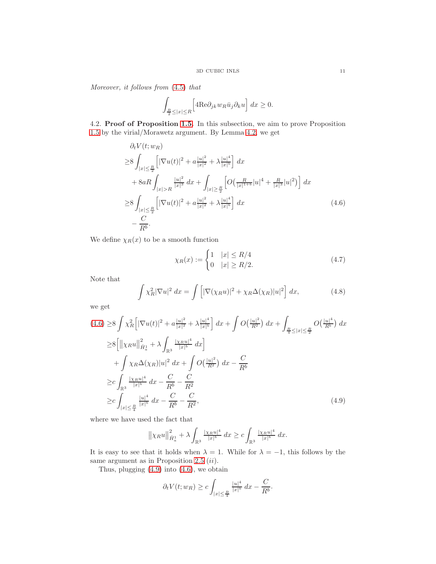Moreover, it follows from [\(4.5\)](#page-9-2) that

$$
\int_{\frac{R}{2} \leq |x| \leq R} \Big[ 4 \text{Re} \partial_{jk} w_R \bar{u}_j \partial_k u \Big] dx \geq 0.
$$

4.2. Proof of Proposition [1.5.](#page-3-4) In this subsection, we aim to prove Proposition [1.5](#page-3-4) by the virial/Morawetz argument. By Lemma [4.2,](#page-9-3) we get

$$
\partial_t V(t; w_R) \ge 8 \int_{|x| \le \frac{R}{2}} \left[ |\nabla u(t)|^2 + a \frac{|u|^2}{|x|^2} + \lambda \frac{|u|^4}{|x|^b} \right] dx + 8aR \int_{|x| > R} \frac{|u|^2}{|x|^3} dx + \int_{|x| \ge \frac{R}{2}} \left[ O\left(\frac{R}{|x|^{1+b}} |u|^4 + \frac{R}{|x|^3} |u|^2 \right) \right] dx \ge 8 \int_{|x| \le \frac{R}{2}} \left[ |\nabla u(t)|^2 + a \frac{|u|^2}{|x|^2} + \lambda \frac{|u|^4}{|x|^b} \right] dx - \frac{C}{R^b}.
$$
\n(4.6)

We define  $\chi_R(x)$  to be a smooth function

<span id="page-10-0"></span>
$$
\chi_R(x) := \begin{cases} 1 & |x| \le R/4 \\ 0 & |x| \ge R/2. \end{cases}
$$
 (4.7)

Note that

$$
\int \chi_R^2 |\nabla u|^2 dx = \int \left[ |\nabla(\chi_R u)|^2 + \chi_R \Delta(\chi_R) |u|^2 \right] dx,
$$
 (4.8)

we get

$$
(4.6) \geq 8 \int \chi_R^2 \left[ |\nabla u(t)|^2 + a \frac{|u|^2}{|x|^2} + \lambda \frac{|u|^4}{|x|^b} \right] dx + \int O\left(\frac{|u|^2}{R^2}\right) dx + \int_{\frac{R}{4} \leq |x| \leq \frac{R}{2}} O\left(\frac{|u|^4}{R^b}\right) dx
$$
  
\n
$$
\geq 8 \left[ \left\| \chi_R u \right\|_{\dot{H}_a^1}^2 + \lambda \int_{\mathbb{R}^3} \frac{|\chi_R u|^4}{|x|^b} dx \right]
$$
  
\n
$$
+ \int \chi_R \Delta(\chi_R) |u|^2 dx + \int O\left(\frac{|u|^2}{R^2}\right) dx - \frac{C}{R^b}
$$
  
\n
$$
\geq c \int_{\mathbb{R}^3} \frac{|\chi_R u|^4}{|x|^b} dx - \frac{C}{R^b} - \frac{C}{R^2}
$$
  
\n
$$
\geq c \int_{|x| \leq \frac{R}{4}} \frac{|u|^4}{|x|^b} dx - \frac{C}{R^b} - \frac{C}{R^2}, \tag{4.9}
$$

where we have used the fact that

<span id="page-10-1"></span>
$$
\left\|\chi_R u\right\|_{\dot{H}^1_a}^2 + \lambda \int_{\mathbb{R}^3} \frac{|\chi_R u|^4}{|x|^b} \, dx \ge c \int_{\mathbb{R}^3} \frac{|\chi_R u|^4}{|x|^b} \, dx.
$$

It is easy to see that it holds when  $\lambda = 1$ . While for  $\lambda = -1$ , this follows by the same argument as in Proposition [2.5](#page-5-4)  $(ii)$ .

Thus, plugging [\(4.9\)](#page-10-1) into [\(4.6\)](#page-10-0), we obtain

$$
\partial_t V(t; w_R) \ge c \int_{|x| \le \frac{R}{4}} \frac{|u|^4}{|x|^b} dx - \frac{C}{R^b}.
$$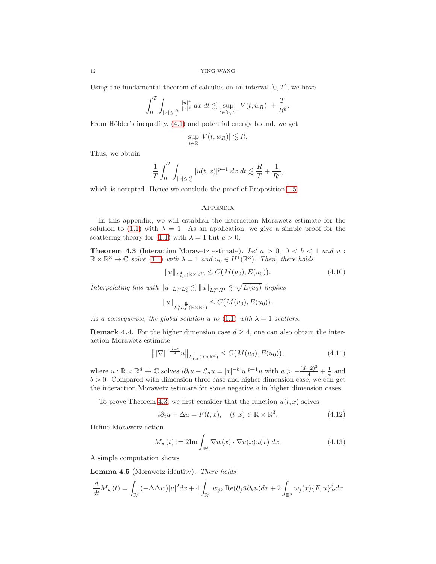Using the fundamental theorem of calculus on an interval  $[0, T]$ , we have

$$
\int_0^T \int_{|x| \le \frac{R}{4}} \frac{|u|^4}{|x|^b} \, dx \, dt \lesssim \sup_{t \in [0,T]} |V(t, w_R)| + \frac{T}{R^b}.
$$

From Hölder's inequality,  $(4.1)$  and potential energy bound, we get

$$
\sup_{t \in \mathbb{R}} |V(t, w_R)| \lesssim R.
$$

Thus, we obtain

$$
\frac{1}{T} \int_0^T \int_{|x| \le \frac{R}{4}} |u(t,x)|^{p+1} \, dx \, dt \lesssim \frac{R}{T} + \frac{1}{R^b},
$$

which is accepted. Hence we conclude the proof of Proposition [1.5.](#page-3-4)

### **APPENDIX**

In this appendix, we will establish the interaction Morawetz estimate for the solution to [\(1.1\)](#page-0-0) with  $\lambda = 1$ . As an application, we give a simple proof for the scattering theory for [\(1.1\)](#page-0-0) with  $\lambda = 1$  but  $a > 0$ .

<span id="page-11-0"></span>**Theorem 4.3** (Interaction Morawetz estimate). Let  $a > 0$ ,  $0 < b < 1$  and  $u$ :  $\mathbb{R} \times \mathbb{R}^3 \to \mathbb{C}$  solve [\(1.1\)](#page-0-0) with  $\lambda = 1$  and  $u_0 \in H^1(\mathbb{R}^3)$ . Then, there holds

$$
||u||_{L_{t,x}^{4}(\mathbb{R}\times\mathbb{R}^{3})} \leq C(M(u_{0}), E(u_{0})). \tag{4.10}
$$

Interpolating this with  $||u||_{L_t^{\infty}L_x^6} \lesssim ||u||_{L_t^{\infty}\dot{H}^1} \lesssim \sqrt{E(u_0)}$  implies

$$
||u||_{L_t^6 L_x^{\frac{9}{2}}(\mathbb{R} \times \mathbb{R}^3)} \leq C(M(u_0), E(u_0)).
$$

As a consequence, the global solution u to [\(1.1\)](#page-0-0) with  $\lambda = 1$  scatters.

**Remark 4.4.** For the higher dimension case  $d \geq 4$ , one can also obtain the interaction Morawetz estimate

$$
\left\| |\nabla|^{-\frac{d-3}{4}} u \right\|_{L^4_{t,x}(\mathbb{R} \times \mathbb{R}^d)} \le C\big(M(u_0), E(u_0)\big),\tag{4.11}
$$

where  $u : \mathbb{R} \times \mathbb{R}^d \to \mathbb{C}$  solves  $i\partial_t u - \mathcal{L}_a u = |x|^{-b} |u|^{p-1}u$  with  $a > -\frac{(d-2)^2}{4} + \frac{1}{4}$  and  $b > 0$ . Compared with dimension three case and higher dimension case, we can get the interaction Morawetz estimate for some negative  $a$  in higher dimension cases.

To prove Theorem [4.3,](#page-11-0) we first consider that the function  $u(t, x)$  solves

$$
i\partial_t u + \Delta u = F(t, x), \quad (t, x) \in \mathbb{R} \times \mathbb{R}^3. \tag{4.12}
$$

Define Morawetz action

$$
M_w(t) := 2\mathrm{Im}\int_{\mathbb{R}^3} \nabla w(x) \cdot \nabla u(x)\bar{u}(x) dx.
$$
 (4.13)

A simple computation shows

<span id="page-11-1"></span>Lemma 4.5 (Morawetz identity). There holds

$$
\frac{d}{dt}M_w(t) = \int_{\mathbb{R}^3} (-\Delta \Delta w)|u|^2 dx + 4 \int_{\mathbb{R}^3} w_{jk} \operatorname{Re}(\partial_j \bar{u} \partial_k u) dx + 2 \int_{\mathbb{R}^3} w_j(x) \{F, u\}^j_p dx
$$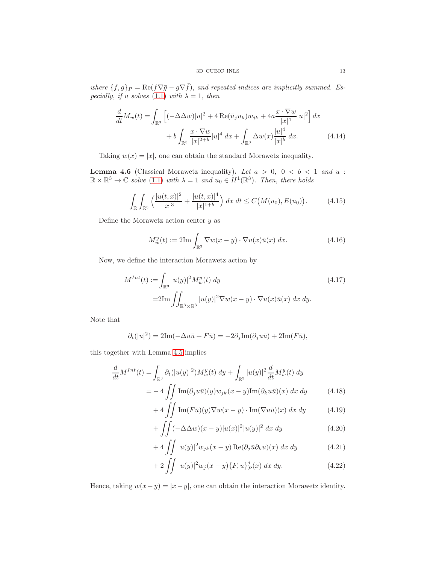where  $\{f, g\}_P = \text{Re}(f\nabla \bar{g} - g\nabla \bar{f})$ , and repeated indices are implicitly summed. Es-pecially, if u solves [\(1.1\)](#page-0-0) with  $\lambda = 1$ , then

$$
\frac{d}{dt}M_w(t) = \int_{\mathbb{R}^3} \left[ (-\Delta \Delta w)|u|^2 + 4 \operatorname{Re}(\bar{u}_j u_k) w_{jk} + 4a \frac{x \cdot \nabla w}{|x|^4} |u|^2 \right] dx \n+ b \int_{\mathbb{R}^3} \frac{x \cdot \nabla w}{|x|^{2+b}} |u|^4 dx + \int_{\mathbb{R}^3} \Delta w(x) \frac{|u|^4}{|x|^b} dx.
$$
\n(4.14)

Taking  $w(x) = |x|$ , one can obtain the standard Morawetz inequality.

<span id="page-12-0"></span>**Lemma 4.6** (Classical Morawetz inequality). Let  $a > 0$ ,  $0 < b < 1$  and  $u$ :  $\mathbb{R} \times \mathbb{R}^3 \to \mathbb{C}$  solve [\(1.1\)](#page-0-0) with  $\lambda = 1$  and  $u_0 \in H^1(\mathbb{R}^3)$ . Then, there holds

$$
\int_{\mathbb{R}} \int_{\mathbb{R}^3} \left( \frac{|u(t,x)|^2}{|x|^3} + \frac{|u(t,x)|^4}{|x|^{1+b}} \right) dx dt \le C(M(u_0), E(u_0)). \tag{4.15}
$$

Define the Morawetz action center  $y$  as

$$
M_w^y(t) := 2\mathrm{Im}\int_{\mathbb{R}^3} \nabla w(x - y) \cdot \nabla u(x)\bar{u}(x) dx.
$$
 (4.16)

Now, we define the interaction Morawetz action by

$$
M^{Int}(t) := \int_{\mathbb{R}^3} |u(y)|^2 M_w^y(t) dy
$$
  
=2Im  $\iint_{\mathbb{R}^3 \times \mathbb{R}^3} |u(y)|^2 \nabla w(x - y) \cdot \nabla u(x) \bar{u}(x) dx dy.$  (4.17)

Note that

$$
\partial_t(|u|^2) = 2\mathrm{Im}(-\Delta u\bar{u} + F\bar{u}) = -2\partial_j \mathrm{Im}(\partial_j u\bar{u}) + 2\mathrm{Im}(F\bar{u}),
$$

this together with Lemma [4.5](#page-11-1) implies

$$
\frac{d}{dt}M^{Int}(t) = \int_{\mathbb{R}^3} \partial_t (|u(y)|^2) M_w^y(t) dy + \int_{\mathbb{R}^3} |u(y)|^2 \frac{d}{dt} M_w^y(t) dy
$$

$$
= -4 \iint \text{Im}(\partial_j u \bar{u})(y) w_{jk}(x-y) \text{Im}(\partial_k u \bar{u})(x) dx dy \qquad (4.18)
$$

$$
+4\iint\limits_{c,c} \text{Im}(F\bar{u})(y)\nabla w(x-y)\cdot \text{Im}(\nabla u\bar{u})(x) dx dy \qquad (4.19)
$$

$$
+\iint (-\Delta\Delta w)(x-y)|u(x)|^2|u(y)|^2 dx dy \qquad (4.20)
$$

$$
+4\iint |u(y)|^2 w_{jk}(x-y) \operatorname{Re}(\partial_j \bar{u}\partial_k u)(x) dx dy \qquad (4.21)
$$

$$
+ 2 \iint |u(y)|^2 w_j(x-y) \{F, u\}_P^j(x) \, dx \, dy. \tag{4.22}
$$

Hence, taking  $w(x-y) = |x-y|$ , one can obtain the interaction Morawetz identity.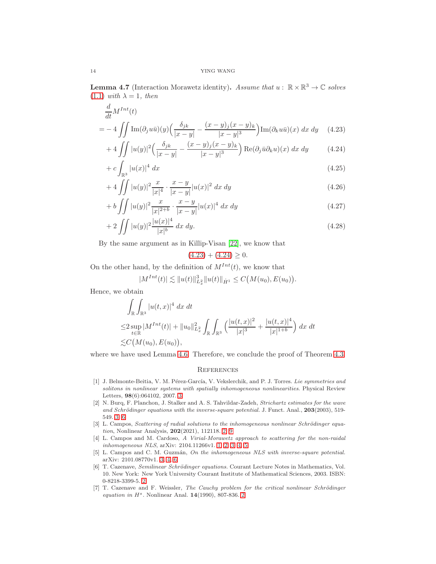**Lemma 4.7** (Interaction Morawetz identity). Assume that  $u : \mathbb{R} \times \mathbb{R}^3 \to \mathbb{C}$  solves  $(1.1)$  with  $\lambda = 1$ , then

$$
\frac{d}{dt}M^{Int}(t)
$$
\n
$$
= -4 \iint \text{Im}(\partial_j u \bar{u})(y) \left( \frac{\delta_{jk}}{|x-y|} - \frac{(x-y)_j (x-y)_k}{|x-y|^3} \right) \text{Im}(\partial_k u \bar{u})(x) dx dy \quad (4.23)
$$

$$
+4\iint |u(y)|^2 \left(\frac{\delta_{jk}}{|x-y|} - \frac{(x-y)_j(x-y)_k}{|x-y|^3}\right) \text{Re}(\partial_j \bar{u}\partial_k u)(x) dx dy \qquad (4.24)
$$

$$
+ c \int_{\mathbb{R}^3} |u(x)|^4 dx \tag{4.25}
$$

$$
+ 4 \int \int |u(y)|^2 \frac{x}{|x|^4} \cdot \frac{x-y}{|x-y|} |u(x)|^2 dx dy \tag{4.26}
$$

$$
+ b \int \int |u(y)|^2 \frac{x}{|x|^{2+b}} \cdot \frac{x-y}{|x-y|} |u(x)|^4 dx dy \tag{4.27}
$$

$$
+ 2 \iint |u(y)|^2 \frac{|u(x)|^4}{|x|^b} dx dy.
$$
 (4.28)

By the same argument as in Killip-Visan [\[22\]](#page-14-23), we know that

<span id="page-13-8"></span><span id="page-13-7"></span>
$$
(4.23) + (4.24) \ge 0.
$$

On the other hand, by the definition of  $M^{Int}(t)$ , we know that

$$
|M^{Int}(t)| \lesssim ||u(t)||_{L_x^2}^3 ||u(t)||_{\dot{H}^1} \leq C(M(u_0), E(u_0)).
$$

Hence, we obtain

$$
\int_{\mathbb{R}} \int_{\mathbb{R}^3} |u(t,x)|^4 \, dx \, dt
$$
\n
$$
\leq 2 \sup_{t \in \mathbb{R}} |M^{Int}(t)| + \|u_0\|_{L_x^2}^2 \int_{\mathbb{R}} \int_{\mathbb{R}^3} \left( \frac{|u(t,x)|^2}{|x|^3} + \frac{|u(t,x)|^4}{|x|^{1+b}} \right) dx \, dt
$$
\n
$$
\lesssim C \big( M(u_0), E(u_0) \big),
$$

where we have used Lemma [4.6.](#page-12-0) Therefore, we conclude the proof of Theorem [4.3.](#page-11-0)

#### **REFERENCES**

- <span id="page-13-5"></span>[1] J. Belmonte-Beitia, V. M. Pérez-García, V. Vekslerchik, and P. J. Torres. Lie symmetries and solitons in nonlinear systems with spatially inhomogeneous nonlinearities. Physical Review Letters, 98(6):064102, 2007. [3](#page-2-3)
- <span id="page-13-4"></span>[2] N. Burq, F. Planchon, J. Stalker and A. S. Tahvildar-Zadeh, Strichartz estimates for the wave and Schrödinger equations with the inverse-square potential. J. Funct. Anal.,  $203(2003)$ , 519-549. [3,](#page-2-3) [6](#page-5-5)
- <span id="page-13-1"></span>[3] L. Campos, Scattering of radial solutions to the inhomogeneous nonlinear Schrödinger equation, Nonlinear Analysis, 202(2021), 112118. [2,](#page-1-2) [9](#page-8-2)
- <span id="page-13-0"></span>[4] L. Campos and M. Cardoso, A Virial-Morawetz approach to scattering for the non-raidal inhomogeneous NLS, arXiv: 2104.11266v1. [1,](#page-0-1) [2,](#page-1-2) [3,](#page-2-3) [4,](#page-3-5) [5](#page-4-2)
- <span id="page-13-6"></span>[5] L. Campos and C. M. Guzmán, On the inhomogeneous NLS with inverse-square potential. arXiv: 2101.08770v1. [3,](#page-2-3) [4,](#page-3-5) [6](#page-5-5)
- <span id="page-13-2"></span>[6] T. Cazenave, Semilinear Schrödinger equations. Courant Lecture Notes in Mathematics, Vol. 10. New York: New York University Courant Institute of Mathematical Sciences, 2003. ISBN: 0-8218-3399-5. [2](#page-1-2)
- <span id="page-13-3"></span>[7] T. Cazenave and F. Weissler, The Cauchy problem for the critical nonlinear Schrödinger equation in  $H^s$ . Nonlinear Anal. 14(1990), 807-836. [2](#page-1-2)

<span id="page-13-9"></span>